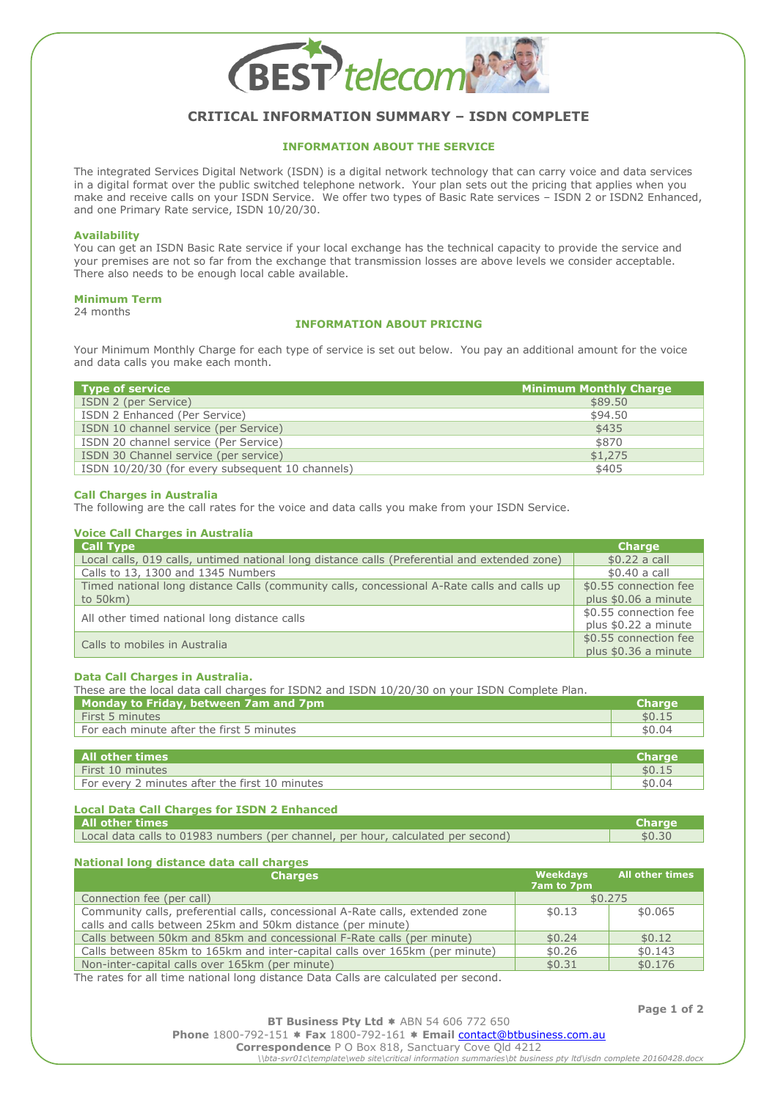

# **CRITICAL INFORMATION SUMMARY – ISDN COMPLETE**

# **INFORMATION ABOUT THE SERVICE**

The integrated Services Digital Network (ISDN) is a digital network technology that can carry voice and data services in a digital format over the public switched telephone network. Your plan sets out the pricing that applies when you make and receive calls on your ISDN Service. We offer two types of Basic Rate services – ISDN 2 or ISDN2 Enhanced, and one Primary Rate service, ISDN 10/20/30.

#### **Availability**

You can get an ISDN Basic Rate service if your local exchange has the technical capacity to provide the service and your premises are not so far from the exchange that transmission losses are above levels we consider acceptable. There also needs to be enough local cable available.

# **Minimum Term**

24 months

# **INFORMATION ABOUT PRICING**

Your Minimum Monthly Charge for each type of service is set out below. You pay an additional amount for the voice and data calls you make each month.

| <b>Type of service</b>                           | <b>Minimum Monthly Charge</b> |
|--------------------------------------------------|-------------------------------|
| ISDN 2 (per Service)                             | \$89.50                       |
| ISDN 2 Enhanced (Per Service)                    | \$94.50                       |
| ISDN 10 channel service (per Service)            | \$435                         |
| ISDN 20 channel service (Per Service)            | \$870                         |
| ISDN 30 Channel service (per service)            | \$1,275                       |
| ISDN 10/20/30 (for every subsequent 10 channels) | \$405                         |

## **Call Charges in Australia**

The following are the call rates for the voice and data calls you make from your ISDN Service.

# **Voice Call Charges in Australia**

| <b>Call Type</b>                                                                              | <b>Charge</b>         |
|-----------------------------------------------------------------------------------------------|-----------------------|
| Local calls, 019 calls, untimed national long distance calls (Preferential and extended zone) | $$0.22$ a call        |
| Calls to 13, 1300 and 1345 Numbers                                                            | \$0.40 a call         |
| Timed national long distance Calls (community calls, concessional A-Rate calls and calls up   | \$0.55 connection fee |
| to $50km$ )                                                                                   | plus \$0.06 a minute  |
| All other timed national long distance calls                                                  | \$0.55 connection fee |
|                                                                                               | plus \$0.22 a minute  |
| Calls to mobiles in Australia                                                                 | \$0.55 connection fee |
|                                                                                               | plus \$0.36 a minute  |

#### **Data Call Charges in Australia.**

| These are the local data call charges for ISDN2 and ISDN 10/20/30 on your ISDN Complete Plan. |               |
|-----------------------------------------------------------------------------------------------|---------------|
| Monday to Friday, between 7am and 7pm                                                         | <b>Charge</b> |
| First 5 minutes                                                                               | \$0.15        |
| For each minute after the first 5 minutes                                                     | \$0.04        |
|                                                                                               |               |
| <b>ALL ALL AND AND A</b>                                                                      |               |

| l All other times l                            | Charge |
|------------------------------------------------|--------|
| First 10 minutes                               | \$0.15 |
| For every 2 minutes after the first 10 minutes | \$0.04 |
|                                                |        |

# **Local Data Call Charges for ISDN 2 Enhanced**

| All other times                                                                  | <b>Charge</b> |
|----------------------------------------------------------------------------------|---------------|
| Local data calls to 01983 numbers (per channel, per hour, calculated per second) | \$0.30        |
|                                                                                  |               |

# **National long distance data call charges**

| <b>Charges</b>                                                                | Weekdays<br>7am to 7pm | <b>All other times</b> |
|-------------------------------------------------------------------------------|------------------------|------------------------|
| Connection fee (per call)                                                     | \$0.275                |                        |
| Community calls, preferential calls, concessional A-Rate calls, extended zone | \$0.13                 | \$0.065                |
| calls and calls between 25km and 50km distance (per minute)                   |                        |                        |
| Calls between 50km and 85km and concessional F-Rate calls (per minute)        | \$0.24                 | \$0.12                 |
| Calls between 85km to 165km and inter-capital calls over 165km (per minute)   | \$0.26                 | \$0.143                |
| Non-inter-capital calls over 165km (per minute)                               | \$0.31                 | \$0.176                |

The rates for all time national long distance Data Calls are calculated per second.

**Page 1 of 2**